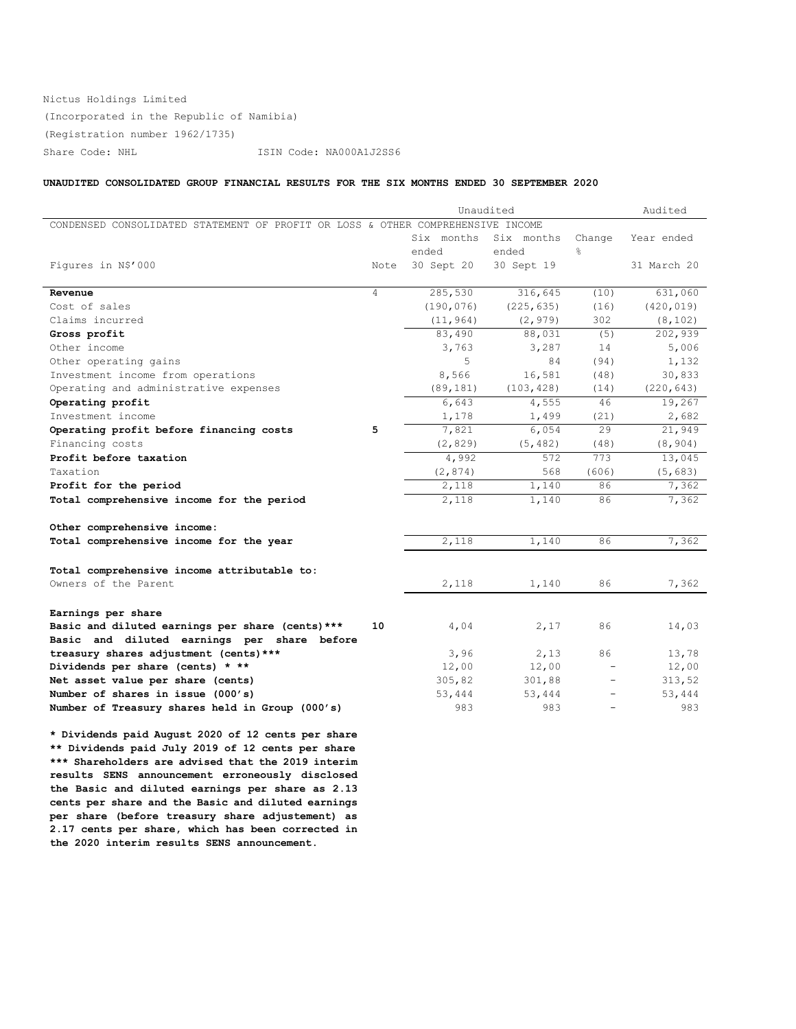# Nictus Holdings Limited (Incorporated in the Republic of Namibia) (Registration number 1962/1735) Share Code: NHL ISIN Code: NA000A1J2SS6

# **UNAUDITED CONSOLIDATED GROUP FINANCIAL RESULTS FOR THE SIX MONTHS ENDED 30 SEPTEMBER 2020**

|                                                                                 |      | Unaudited  | Audited    |               |             |
|---------------------------------------------------------------------------------|------|------------|------------|---------------|-------------|
| CONDENSED CONSOLIDATED STATEMENT OF PROFIT OR LOSS & OTHER COMPREHENSIVE INCOME |      |            |            |               |             |
|                                                                                 |      | Six months | Six months | Change        | Year ended  |
|                                                                                 |      | ended      | ended      | $\frac{6}{6}$ |             |
| Figures in N\$'000                                                              | Note | 30 Sept 20 | 30 Sept 19 |               | 31 March 20 |
|                                                                                 |      |            |            |               |             |
| Revenue                                                                         | 4    | 285,530    | 316,645    | (10)          | 631,060     |
| Cost of sales                                                                   |      | (190, 076) | (225, 635) | (16)          | (420, 019)  |
| Claims incurred                                                                 |      | (11, 964)  | (2, 979)   | 302           | (8, 102)    |
| Gross profit                                                                    |      | 83,490     | 88,031     | (5)           | 202,939     |
| Other income                                                                    |      | 3,763      | 3,287      | 14            | 5,006       |
| Other operating gains                                                           |      | 5          | 84         | (94)          | 1,132       |
| Investment income from operations                                               |      | 8,566      | 16,581     | (48)          | 30,833      |
| Operating and administrative expenses                                           |      | (89, 181)  | (103, 428) | (14)          | (220, 643)  |
| Operating profit                                                                |      | 6,643      | 4,555      | 46            | 19,267      |
| Investment income                                                               |      | 1,178      | 1,499      | (21)          | 2,682       |
| Operating profit before financing costs                                         | 5    | 7,821      | 6,054      | 29            | 21,949      |
| Financing costs                                                                 |      | (2, 829)   | (5, 482)   | (48)          | (8, 904)    |
| Profit before taxation                                                          |      | 4,992      | 572        | 773           | 13,045      |
| Taxation                                                                        |      | (2, 874)   | 568        | (606)         | (5, 683)    |
| Profit for the period                                                           |      | 2,118      | 1,140      | 86            | 7,362       |
| Total comprehensive income for the period                                       |      | 2,118      | 1,140      | 86            | 7,362       |
| Other comprehensive income:                                                     |      |            |            |               |             |
| Total comprehensive income for the year                                         |      | 2,118      | 1,140      | 86            | 7,362       |
|                                                                                 |      |            |            |               |             |
| Total comprehensive income attributable to:                                     |      |            |            |               |             |
| Owners of the Parent                                                            |      | 2,118      | 1,140      | 86            | 7,362       |
|                                                                                 |      |            |            |               |             |
| Earnings per share                                                              |      |            |            |               |             |
| Basic and diluted earnings per share (cents) ***                                | 10   | 4,04       | 2,17       | 86            | 14,03       |
| Basic and diluted earnings per share before                                     |      |            |            |               |             |
| treasury shares adjustment (cents) ***                                          |      | 3,96       | 2,13       | 86            | 13,78       |
| Dividends per share (cents) * **                                                |      | 12,00      | 12,00      |               | 12,00       |
| Net asset value per share (cents)                                               |      | 305,82     | 301,88     |               | 313,52      |
| Number of shares in issue (000's)                                               |      | 53,444     | 53,444     |               | 53,444      |
| Number of Treasury shares held in Group (000's)                                 |      | 983        | 983        |               | 983         |
|                                                                                 |      |            |            |               |             |

**\* Dividends paid August 2020 of 12 cents per share \*\* Dividends paid July 2019 of 12 cents per share \*\*\* Shareholders are advised that the 2019 interim results SENS announcement erroneously disclosed the Basic and diluted earnings per share as 2.13 cents per share and the Basic and diluted earnings per share (before treasury share adjustement) as 2.17 cents per share, which has been corrected in the 2020 interim results SENS announcement.**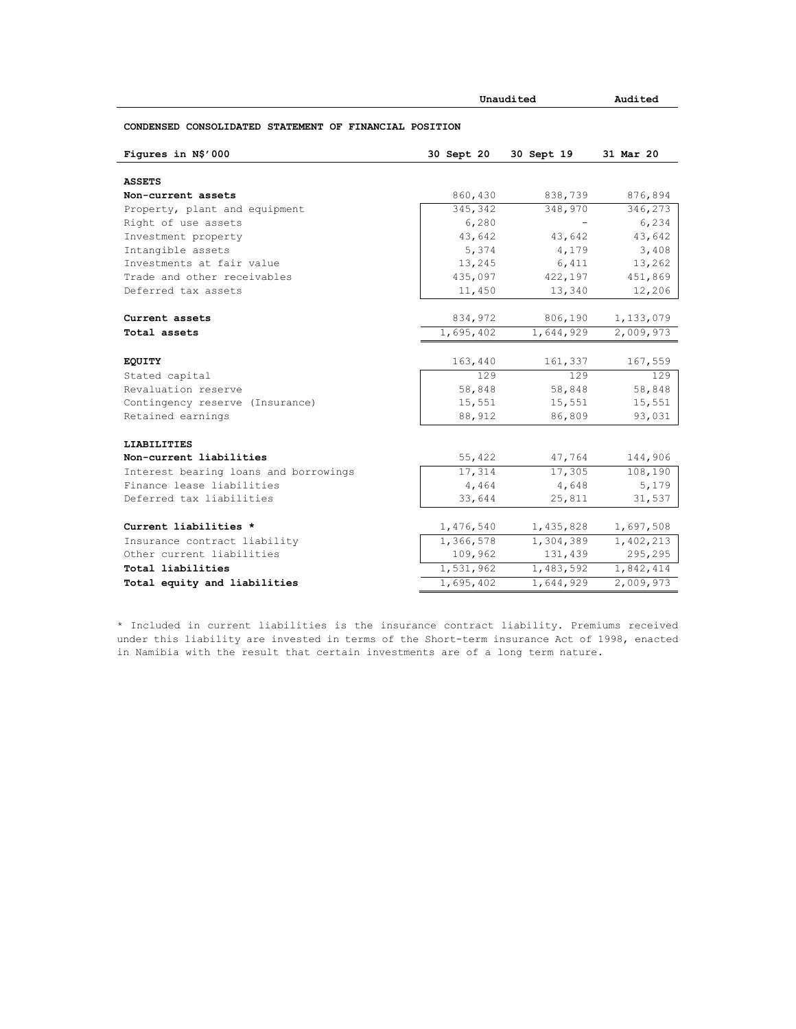|                                                        | Unaudited  | Audited    |           |
|--------------------------------------------------------|------------|------------|-----------|
| CONDENSED CONSOLIDATED STATEMENT OF FINANCIAL POSITION |            |            |           |
| Figures in N\$'000                                     | 30 Sept 20 | 30 Sept 19 | 31 Mar 20 |
| <b>ASSETS</b>                                          |            |            |           |
| Non-current assets                                     | 860,430    | 838,739    | 876,894   |
| Property, plant and equipment                          | 345,342    | 348,970    | 346,273   |
| Right of use assets                                    | 6,280      |            | 6,234     |
| Investment property                                    | 43,642     | 43,642     | 43,642    |
| Intangible assets                                      | 5,374      | 4,179      | 3,408     |
| Investments at fair value                              | 13,245     | 6,411      | 13,262    |
| Trade and other receivables                            | 435,097    | 422,197    | 451,869   |
| Deferred tax assets                                    | 11,450     | 13,340     | 12,206    |
| Current assets                                         | 834,972    | 806,190    | 1,133,079 |
| Total assets                                           | 1,695,402  | 1,644,929  | 2,009,973 |
|                                                        |            |            |           |
| <b>EQUITY</b>                                          | 163,440    | 161,337    | 167,559   |
| Stated capital                                         | 129        | 129        | 129       |
| Revaluation reserve                                    | 58,848     | 58,848     | 58,848    |
| Contingency reserve (Insurance)                        | 15,551     | 15,551     | 15,551    |
| Retained earnings                                      | 88,912     | 86,809     | 93,031    |
| <b>LIABILITIES</b>                                     |            |            |           |
| Non-current liabilities                                | 55,422     | 47,764     | 144,906   |
| Interest bearing loans and borrowings                  | 17,314     | 17,305     | 108,190   |
| Finance lease liabilities                              | 4,464      | 4,648      | 5,179     |
| Deferred tax liabilities                               | 33,644     | 25,811     | 31,537    |
| Current liabilities *                                  | 1,476,540  | 1,435,828  | 1,697,508 |
| Insurance contract liability                           | 1,366,578  | 1,304,389  | 1,402,213 |
| Other current liabilities                              | 109,962    | 131,439    | 295,295   |
| Total liabilities                                      | 1,531,962  | 1,483,592  | 1,842,414 |
| Total equity and liabilities                           | 1,695,402  | 1,644,929  | 2,009,973 |

\* Included in current liabilities is the insurance contract liability. Premiums received under this liability are invested in terms of the Short-term insurance Act of 1998, enacted in Namibia with the result that certain investments are of a long term nature.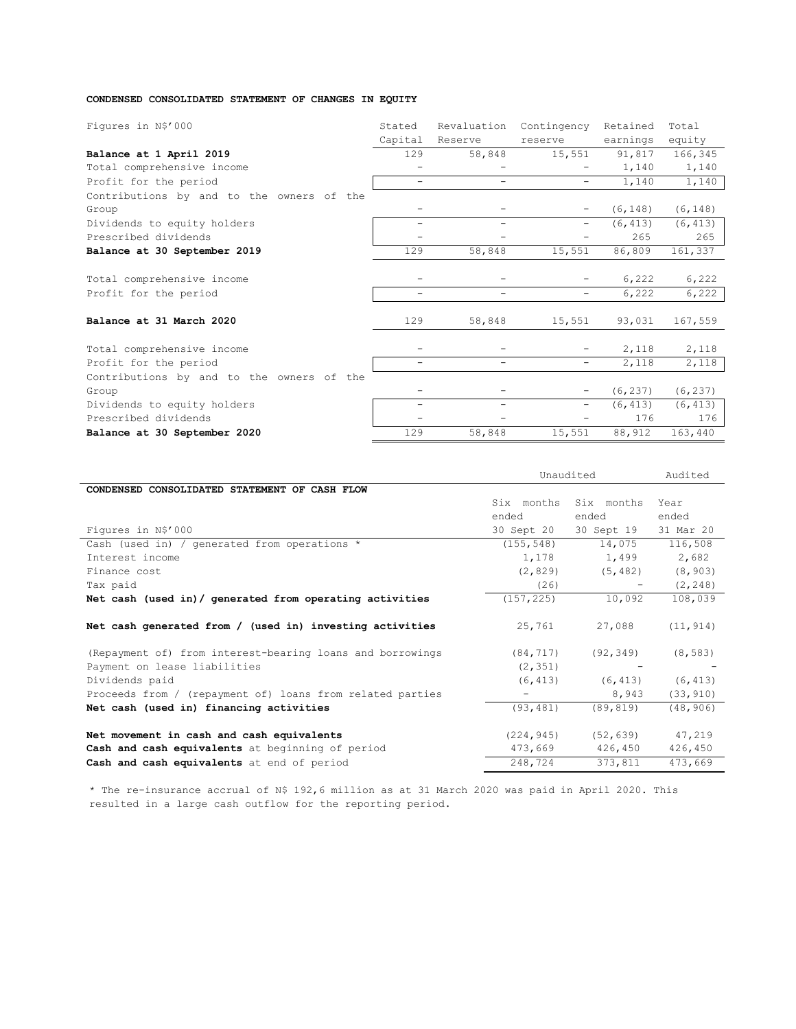# **CONDENSED CONSOLIDATED STATEMENT OF CHANGES IN EQUITY**

| Figures in N\$'000                        | Stated                   | Revaluation              | Contingency              | Retained | Total    |
|-------------------------------------------|--------------------------|--------------------------|--------------------------|----------|----------|
|                                           | Capital                  | Reserve                  | reserve                  | earnings | equity   |
| Balance at 1 April 2019                   | 129                      | 58,848                   | 15,551                   | 91,817   | 166,345  |
| Total comprehensive income                |                          |                          |                          | 1,140    | 1,140    |
| Profit for the period                     | $\overline{\phantom{0}}$ | $\overline{\phantom{0}}$ | $\overline{\phantom{m}}$ | 1,140    | 1,140    |
| Contributions by and to the owners of the |                          |                          |                          |          |          |
| Group                                     |                          |                          | $\overline{\phantom{m}}$ | (6, 148) | (6, 148) |
| Dividends to equity holders               | -                        | -                        | $\overline{\phantom{0}}$ | (6, 413) | (6, 413) |
| Prescribed dividends                      |                          |                          |                          | 265      | 265      |
| Balance at 30 September 2019              | 129                      | 58,848                   | 15,551                   | 86,809   | 161,337  |
|                                           |                          |                          |                          |          |          |
| Total comprehensive income                |                          |                          | -                        | 6,222    | 6,222    |
| Profit for the period                     | $\overline{\phantom{0}}$ | $\overline{\phantom{0}}$ | -                        | 6,222    | 6,222    |
| Balance at 31 March 2020                  | 129                      | 58,848                   | 15,551                   | 93,031   | 167,559  |
| Total comprehensive income                |                          |                          |                          | 2,118    | 2,118    |
| Profit for the period                     |                          |                          | -                        | 2,118    | 2,118    |
| Contributions by and to the owners of the |                          |                          |                          |          |          |
| Group                                     |                          |                          | $\overline{\phantom{m}}$ | (6, 237) | (6, 237) |
| Dividends to equity holders               |                          |                          | -                        | (6, 413) | (6, 413) |
| Prescribed dividends                      |                          |                          |                          | 176      | 176      |
| Balance at 30 September 2020              | 129                      | 58,848                   | 15,551                   | 88,912   | 163,440  |

|                                                           | Unaudited  | Audited    |           |
|-----------------------------------------------------------|------------|------------|-----------|
| CONDENSED CONSOLIDATED STATEMENT OF CASH FLOW             |            |            |           |
|                                                           | Six months | Six months | Year      |
|                                                           | ended      | ended      | ended     |
| Figures in N\$'000                                        | 30 Sept 20 | 30 Sept 19 | 31 Mar 20 |
| Cash (used in) / generated from operations *              | (155, 548) | 14,075     | 116,508   |
| Interest income                                           | 1,178      | 1,499      | 2,682     |
| Finance cost                                              | (2, 829)   | (5, 482)   | (8, 903)  |
| Tax paid                                                  | (26)       |            | (2, 248)  |
| Net cash (used in) / generated from operating activities  | (157, 225) | 10,092     | 108,039   |
| Net cash generated from / (used in) investing activities  | 25,761     | 27,088     | (11, 914) |
|                                                           |            |            |           |
| (Repayment of) from interest-bearing loans and borrowings | (84, 717)  | (92, 349)  | (8, 583)  |
| Payment on lease liabilities                              | (2, 351)   |            |           |
| Dividends paid                                            | (6, 413)   | (6, 413)   | (6, 413)  |
| Proceeds from / (repayment of) loans from related parties |            | 8,943      | (33, 910) |
| Net cash (used in) financing activities                   | (93, 481)  | (89, 819)  | (48, 906) |
|                                                           |            |            |           |
| Net movement in cash and cash equivalents                 | (224, 945) | (52, 639)  | 47,219    |
| Cash and cash equivalents at beginning of period          | 473,669    | 426,450    | 426,450   |
| Cash and cash equivalents at end of period                | 248,724    | 373,811    | 473,669   |

\* The re-insurance accrual of N\$ 192,6 million as at 31 March 2020 was paid in April 2020. This resulted in a large cash outflow for the reporting period.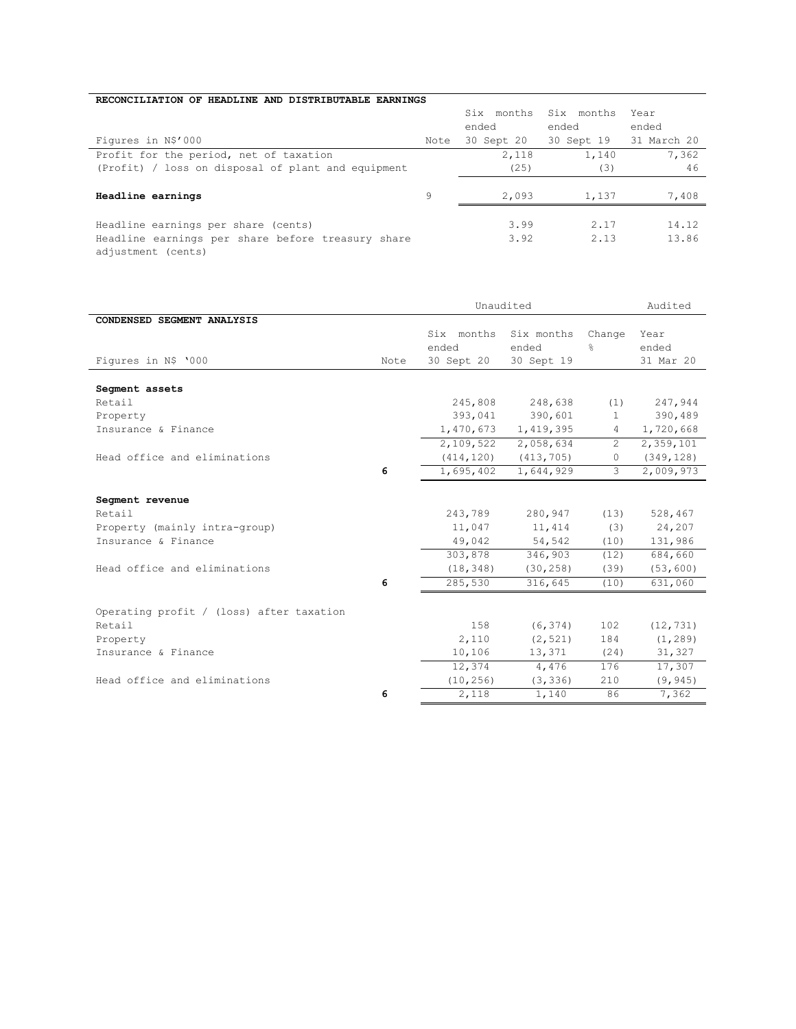# **RECONCILIATION OF HEADLINE AND DISTRIBUTABLE EARNINGS**

|                                                    |      | Six months | Six months | Year        |
|----------------------------------------------------|------|------------|------------|-------------|
|                                                    |      | ended      | ended      | ended       |
| Figures in N\$'000                                 | Note | 30 Sept 20 | 30 Sept 19 | 31 March 20 |
| Profit for the period, net of taxation             |      | 2,118      | 1,140      | 7,362       |
| (Profit) / loss on disposal of plant and equipment |      | (25)       | (3)        | 46          |
|                                                    |      |            |            |             |
| Headline earnings                                  | 9    | 2,093      | 1,137      | 7,408       |
|                                                    |      |            |            |             |
| Headline earnings per share (cents)                |      | 3.99       | 2.17       | 14.12       |
| Headline earnings per share before treasury share  |      | 3.92       | 2.13       | 13.86       |
| adjustment (cents)                                 |      |            |            |             |

|                                          |      | Unaudited  |            | Audited       |            |
|------------------------------------------|------|------------|------------|---------------|------------|
| CONDENSED SEGMENT ANALYSIS               |      |            |            |               |            |
|                                          |      | Six months | Six months | Change        | Year       |
|                                          |      | ended      | ended      | ÷,            | ended      |
| Figures in N\$ '000                      | Note | 30 Sept 20 | 30 Sept 19 |               | 31 Mar 20  |
|                                          |      |            |            |               |            |
| Segment assets                           |      |            |            |               |            |
| Retail                                   |      | 245,808    | 248,638    | (1)           | 247,944    |
| Property                                 |      | 393,041    | 390,601    | $\mathbf{1}$  | 390,489    |
| Insurance & Finance                      |      | 1,470,673  | 1,419,395  | 4             | 1,720,668  |
|                                          |      | 2,109,522  | 2,058,634  | $\mathcal{L}$ | 2,359,101  |
| Head office and eliminations             |      | (414, 120) | (413, 705) | $\Omega$      | (349, 128) |
|                                          | 6    | 1,695,402  | 1,644,929  | 3             | 2,009,973  |
| Segment revenue                          |      |            |            |               |            |
| Retail                                   |      | 243,789    | 280,947    | (13)          | 528,467    |
| Property (mainly intra-group)            |      | 11,047     | 11,414     | (3)           | 24,207     |
| Insurance & Finance                      |      | 49,042     | 54,542     | (10)          | 131,986    |
|                                          |      | 303,878    | 346,903    | (12)          | 684,660    |
| Head office and eliminations             |      | (18, 348)  | (30, 258)  | (39)          | (53, 600)  |
|                                          | 6    | 285,530    | 316,645    | (10)          | 631,060    |
| Operating profit / (loss) after taxation |      |            |            |               |            |
| Retail                                   |      | 158        | (6, 374)   | 102           | (12, 731)  |
| Property                                 |      | 2,110      | (2, 521)   | 184           | (1, 289)   |
| Insurance & Finance                      |      | 10,106     | 13,371     | (24)          | 31,327     |
|                                          |      | 12,374     | 4,476      | 176           | 17,307     |
| Head office and eliminations             |      | (10, 256)  | (3, 336)   | 210           | (9, 945)   |
|                                          | 6    | 2,118      | 1,140      | 86            | 7,362      |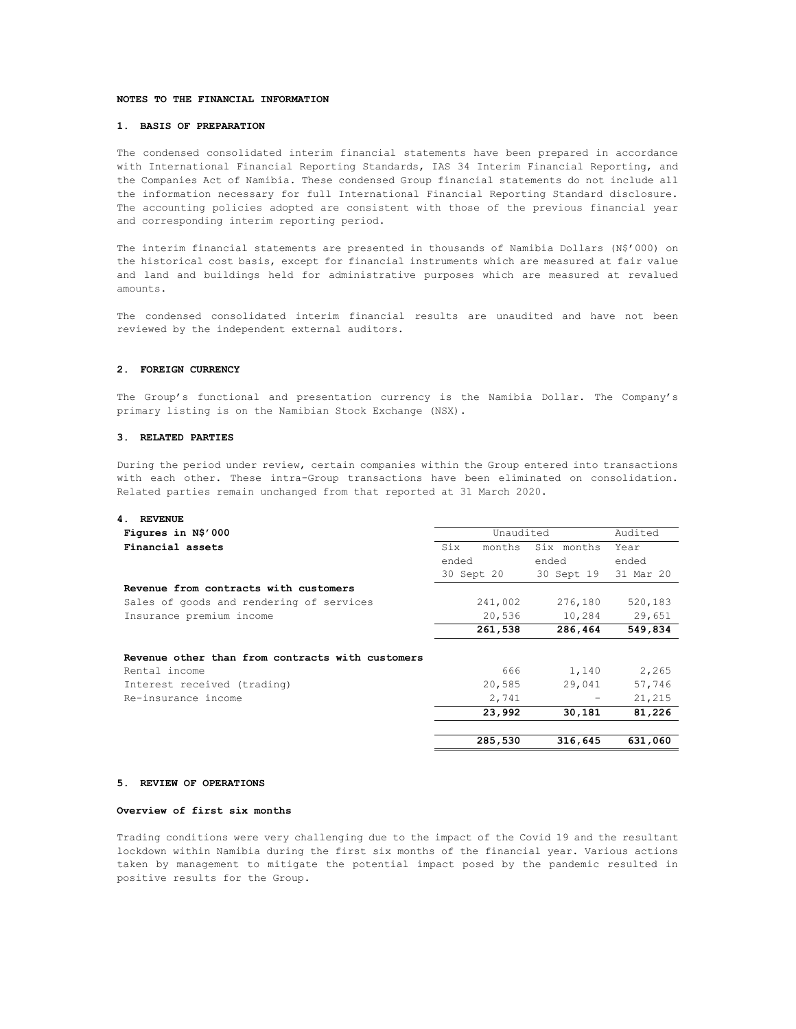#### **NOTES TO THE FINANCIAL INFORMATION**

## **1. BASIS OF PREPARATION**

The condensed consolidated interim financial statements have been prepared in accordance with International Financial Reporting Standards, IAS 34 Interim Financial Reporting, and the Companies Act of Namibia. These condensed Group financial statements do not include all the information necessary for full International Financial Reporting Standard disclosure. The accounting policies adopted are consistent with those of the previous financial year and corresponding interim reporting period.

The interim financial statements are presented in thousands of Namibia Dollars (N\$'000) on the historical cost basis, except for financial instruments which are measured at fair value and land and buildings held for administrative purposes which are measured at revalued amounts.

The condensed consolidated interim financial results are unaudited and have not been reviewed by the independent external auditors.

# **2. FOREIGN CURRENCY**

The Group's functional and presentation currency is the Namibia Dollar. The Company's primary listing is on the Namibian Stock Exchange (NSX).

## **3. RELATED PARTIES**

During the period under review, certain companies within the Group entered into transactions with each other. These intra-Group transactions have been eliminated on consolidation. Related parties remain unchanged from that reported at 31 March 2020.

| <b>REVENUE</b><br>4 |  |
|---------------------|--|
|---------------------|--|

| Figures in N\$'000                               | Unaudited     |            | Audited   |
|--------------------------------------------------|---------------|------------|-----------|
| Financial assets                                 | Six<br>months | Six months | Year      |
|                                                  | ended         | ended      | ended     |
|                                                  | 30 Sept 20    | 30 Sept 19 | 31 Mar 20 |
| Revenue from contracts with customers            |               |            |           |
| Sales of goods and rendering of services         | 241,002       | 276,180    | 520,183   |
| Insurance premium income                         | 20,536        | 10,284     | 29,651    |
|                                                  | 261,538       | 286,464    | 549,834   |
|                                                  |               |            |           |
| Revenue other than from contracts with customers |               |            |           |
| Rental income                                    | 666           | 1,140      | 2,265     |
| Interest received (trading)                      | 20,585        | 29,041     | 57,746    |
| Re-insurance income                              | 2,741         |            | 21,215    |
|                                                  | 23,992        | 30,181     | 81,226    |
|                                                  |               |            |           |
|                                                  | 285,530       | 316,645    | 631,060   |

#### **5. REVIEW OF OPERATIONS**

#### **Overview of first six months**

Trading conditions were very challenging due to the impact of the Covid 19 and the resultant lockdown within Namibia during the first six months of the financial year. Various actions taken by management to mitigate the potential impact posed by the pandemic resulted in positive results for the Group.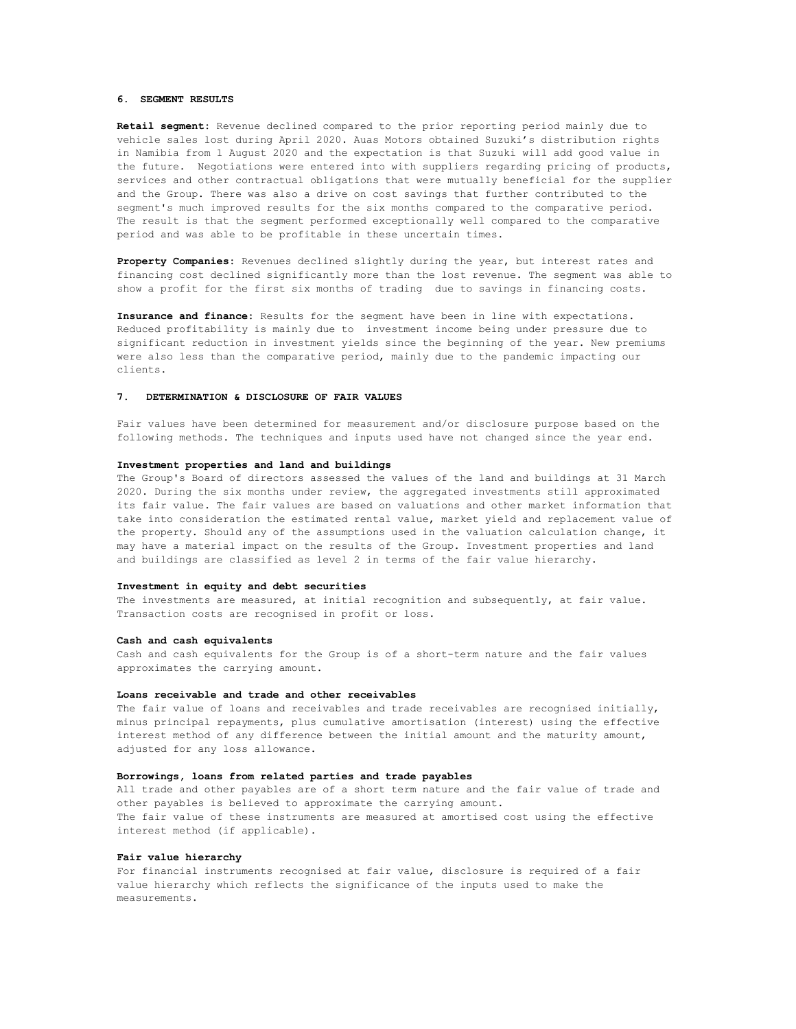#### **6. SEGMENT RESULTS**

**Retail segment:** Revenue declined compared to the prior reporting period mainly due to vehicle sales lost during April 2020. Auas Motors obtained Suzuki's distribution rights in Namibia from 1 August 2020 and the expectation is that Suzuki will add good value in the future. Negotiations were entered into with suppliers regarding pricing of products, services and other contractual obligations that were mutually beneficial for the supplier and the Group. There was also a drive on cost savings that further contributed to the segment's much improved results for the six months compared to the comparative period. The result is that the segment performed exceptionally well compared to the comparative period and was able to be profitable in these uncertain times.

**Property Companies:** Revenues declined slightly during the year, but interest rates and financing cost declined significantly more than the lost revenue. The segment was able to show a profit for the first six months of trading due to savings in financing costs.

**Insurance and finance:** Results for the segment have been in line with expectations. Reduced profitability is mainly due to investment income being under pressure due to significant reduction in investment yields since the beginning of the year. New premiums were also less than the comparative period, mainly due to the pandemic impacting our clients.

#### **7. DETERMINATION & DISCLOSURE OF FAIR VALUES**

Fair values have been determined for measurement and/or disclosure purpose based on the following methods. The techniques and inputs used have not changed since the year end.

#### **Investment properties and land and buildings**

The Group's Board of directors assessed the values of the land and buildings at 31 March 2020. During the six months under review, the aggregated investments still approximated its fair value. The fair values are based on valuations and other market information that take into consideration the estimated rental value, market yield and replacement value of the property. Should any of the assumptions used in the valuation calculation change, it may have a material impact on the results of the Group. Investment properties and land and buildings are classified as level 2 in terms of the fair value hierarchy.

#### **Investment in equity and debt securities**

The investments are measured, at initial recognition and subsequently, at fair value. Transaction costs are recognised in profit or loss.

#### **Cash and cash equivalents**

Cash and cash equivalents for the Group is of a short-term nature and the fair values approximates the carrying amount.

#### **Loans receivable and trade and other receivables**

The fair value of loans and receivables and trade receivables are recognised initially, minus principal repayments, plus cumulative amortisation (interest) using the effective interest method of any difference between the initial amount and the maturity amount, adjusted for any loss allowance.

#### **Borrowings, loans from related parties and trade payables**

All trade and other payables are of a short term nature and the fair value of trade and other payables is believed to approximate the carrying amount. The fair value of these instruments are measured at amortised cost using the effective interest method (if applicable).

#### **Fair value hierarchy**

For financial instruments recognised at fair value, disclosure is required of a fair value hierarchy which reflects the significance of the inputs used to make the measurements.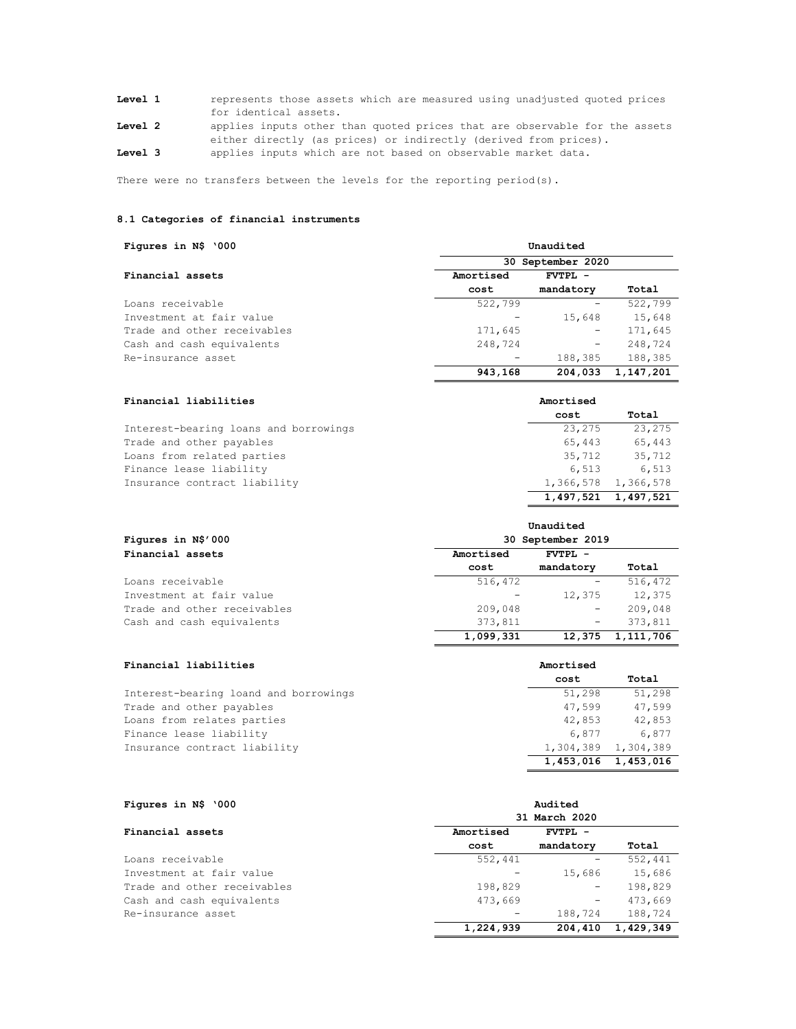| <b>Level 1</b> | represents those assets which are measured using unadjusted quoted prices |  |  |  |  |  |
|----------------|---------------------------------------------------------------------------|--|--|--|--|--|
|                | for identical assets.                                                     |  |  |  |  |  |

**Level 2** applies inputs other than quoted prices that are observable for the assets either directly (as prices) or indirectly (derived from prices).

**Level 3** applies inputs which are not based on observable market data.

There were no transfers between the levels for the reporting period(s).

# **8.1 Categories of financial instruments**

| Figures in N\$ '000         | Unaudited         |           |           |  |  |  |
|-----------------------------|-------------------|-----------|-----------|--|--|--|
|                             | 30 September 2020 |           |           |  |  |  |
| Financial assets            | Amortised         | FVTPL -   |           |  |  |  |
|                             | cost              | mandatory | Total     |  |  |  |
| Loans receivable            | 522,799           |           | 522,799   |  |  |  |
| Investment at fair value    |                   | 15,648    | 15,648    |  |  |  |
| Trade and other receivables | 171,645           | -         | 171,645   |  |  |  |
| Cash and cash equivalents   | 248,724           | -         | 248,724   |  |  |  |
| Re-insurance asset          |                   | 188,385   | 188,385   |  |  |  |
|                             | 943,168           | 204,033   | 1,147,201 |  |  |  |

| Financial liabilities                 | Amortised           |        |  |  |
|---------------------------------------|---------------------|--------|--|--|
|                                       | cost                | Total  |  |  |
| Interest-bearing loans and borrowings | 23,275              | 23,275 |  |  |
| Trade and other payables              | 65,443              | 65,443 |  |  |
| Loans from related parties            | 35,712              | 35,712 |  |  |
| Finance lease liability               | 6,513               | 6,513  |  |  |
| Insurance contract liability          | 1,366,578 1,366,578 |        |  |  |
|                                       | 1,497,521 1,497,521 |        |  |  |

| Figures in N\$'000          | 30 September 2019 |                   |           |  |
|-----------------------------|-------------------|-------------------|-----------|--|
| Financial assets            | Amortised         |                   |           |  |
|                             | cost              | mandatory         | Total     |  |
| Loans receivable            | 516,472           |                   | 516,472   |  |
| Investment at fair value    |                   | 12,375            | 12,375    |  |
| Trade and other receivables | 209,048           | -                 | 209,048   |  |
| Cash and cash equivalents   | 373,811           | $\qquad \qquad -$ | 373,811   |  |
|                             | 1,099,331         | 12,375            | 1,111,706 |  |

| Financial liabilities                 | Amortised           |           |
|---------------------------------------|---------------------|-----------|
|                                       | cost                | Total     |
| Interest-bearing loand and borrowings | 51,298              | 51,298    |
| Trade and other payables              | 47,599              | 47,599    |
| Loans from relates parties            | 42,853              | 42,853    |
| Finance lease liability               | 6,877               | 6,877     |
| Insurance contract liability          | 1,304,389 1,304,389 |           |
|                                       | 1,453,016           | 1,453,016 |

| Figures in N\$ '000         | Audited<br>31 March 2020 |           |           |
|-----------------------------|--------------------------|-----------|-----------|
|                             |                          |           |           |
| Financial assets            | Amortised                | FVTPL -   |           |
|                             | cost                     | mandatory | Total     |
| Loans receivable            | 552,441                  |           | 552,441   |
| Investment at fair value    |                          | 15,686    | 15,686    |
| Trade and other receivables | 198,829                  | -         | 198,829   |
| Cash and cash equivalents   | 473,669                  | -         | 473,669   |
| Re-insurance asset          |                          | 188,724   | 188,724   |
|                             | 1,224,939                | 204,410   | 1,429,349 |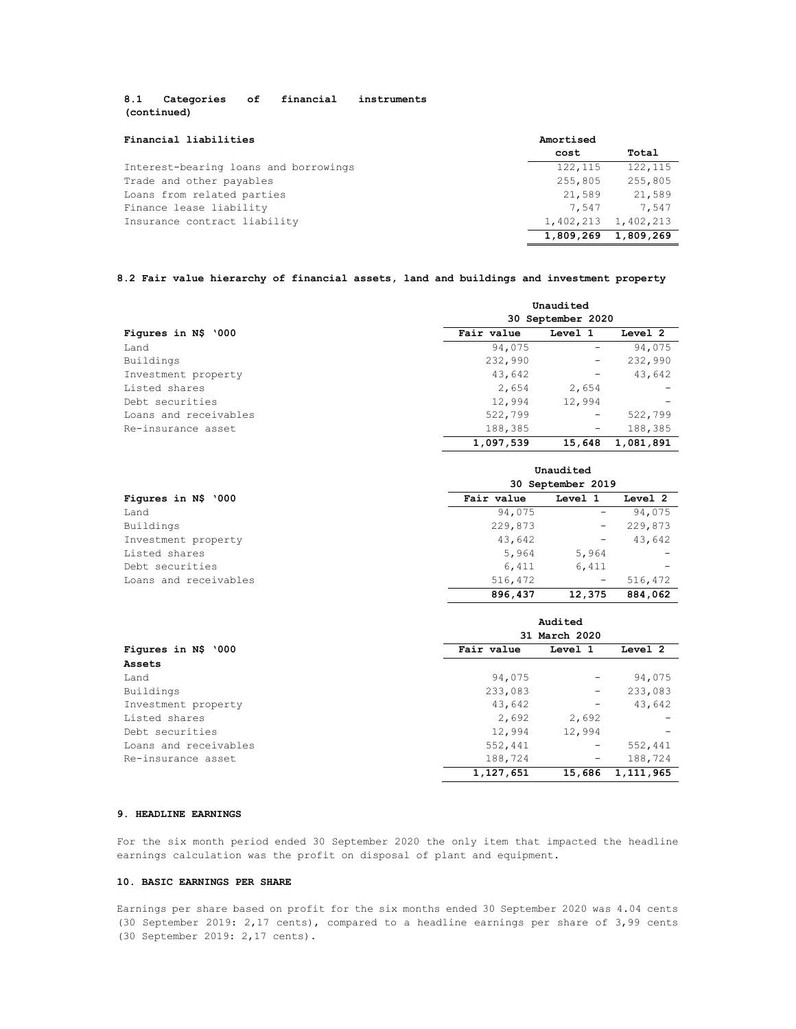# **8.1 Categories of financial instruments (continued)**

| Financial liabilities                 | Amortised |                     |
|---------------------------------------|-----------|---------------------|
|                                       | cost      | Total               |
| Interest-bearing loans and borrowings | 122, 115  | 122,115             |
| Trade and other payables              | 255,805   | 255,805             |
| Loans from related parties            | 21,589    | 21,589              |
| Finance lease liability               | 7,547     | 7,547               |
| Insurance contract liability          |           | 1,402,213 1,402,213 |
|                                       | 1,809,269 | 1,809,269           |

# **8.2 Fair value hierarchy of financial assets, land and buildings and investment property**

|                       | Unaudited         |         |           |
|-----------------------|-------------------|---------|-----------|
|                       | 30 September 2020 |         |           |
| Figures in N\$ '000   | Fair value        | Level 1 | Level 2   |
| Land                  | 94,075            |         | 94,075    |
| Buildings             | 232,990           | -       | 232,990   |
| Investment property   | 43,642            |         | 43,642    |
| Listed shares         | 2,654             | 2,654   |           |
| Debt securities       | 12,994            | 12,994  |           |
| Loans and receivables | 522,799           | -       | 522,799   |
| Re-insurance asset    | 188,385           |         | 188,385   |
|                       | 1,097,539         | 15,648  | 1,081,891 |

|                       | Unaudited<br>30 September 2019 |         |         |
|-----------------------|--------------------------------|---------|---------|
| Figures in N\$ '000   |                                |         |         |
|                       | Fair value                     | Level 1 | Level 2 |
| Land                  | 94,075                         | -       | 94,075  |
| Buildings             | 229,873                        | -       | 229,873 |
| Investment property   | 43,642                         | -       | 43,642  |
| Listed shares         | 5,964                          | 5,964   |         |
| Debt securities       | 6,411                          | 6,411   |         |
| Loans and receivables | 516,472                        | -       | 516,472 |
|                       | 896,437                        | 12,375  | 884,062 |

|                       | Audited<br>31 March 2020 |         |           |
|-----------------------|--------------------------|---------|-----------|
| Figures in N\$ '000   |                          |         |           |
|                       | Fair value               | Level 1 | Level 2   |
| Assets                |                          |         |           |
| Land                  | 94,075                   |         | 94,075    |
| Buildings             | 233,083                  | -       | 233,083   |
| Investment property   | 43,642                   |         | 43,642    |
| Listed shares         | 2,692                    | 2,692   |           |
| Debt securities       | 12,994                   | 12,994  | -         |
| Loans and receivables | 552,441                  | -       | 552,441   |
| Re-insurance asset    | 188,724                  | -       | 188,724   |
|                       | 1,127,651                | 15,686  | 1,111,965 |

## **9. HEADLINE EARNINGS**

For the six month period ended 30 September 2020 the only item that impacted the headline earnings calculation was the profit on disposal of plant and equipment.

# **10. BASIC EARNINGS PER SHARE**

Earnings per share based on profit for the six months ended 30 September 2020 was 4.04 cents (30 September 2019: 2,17 cents), compared to a headline earnings per share of 3,99 cents (30 September 2019: 2,17 cents).